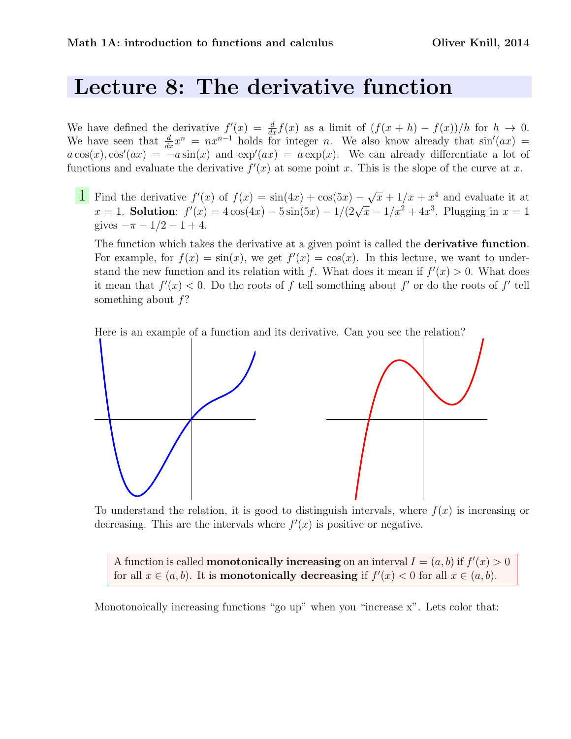## Lecture 8: The derivative function

We have defined the derivative  $f'(x) = \frac{d}{dx} f(x)$  as a limit of  $(f(x+h) - f(x))/h$  for  $h \to 0$ . We have seen that  $\frac{d}{dx}x^n = nx^{n-1}$  holds for integer n. We also know already that  $sin'(ax)$  $a\cos(x),\cos'(ax) = -a\sin(x)$  and  $\exp'(ax) = a\exp(x)$ . We can already differentiate a lot of functions and evaluate the derivative  $f'(x)$  at some point x. This is the slope of the curve at x.

**1** Find the derivative  $f'(x)$  of  $f(x) = \sin(4x) + \cos(5x)$ √  $\overline{x} + 1/x + x^4$  and evaluate it at Find the derivative  $f(x)$  or  $f(x) = \sin(4x) + \cos(3x) - \sqrt{x+1/x} + x$  and evaluate it at  $x = 1$ . Solution:  $f'(x) = 4\cos(4x) - 5\sin(5x) - 1/(2\sqrt{x} - 1/x^2 + 4x^3)$ . Plugging in  $x = 1$ gives  $-\pi - 1/2 - 1 + 4$ .

The function which takes the derivative at a given point is called the **derivative function**. For example, for  $f(x) = \sin(x)$ , we get  $f'(x) = \cos(x)$ . In this lecture, we want to understand the new function and its relation with f. What does it mean if  $f'(x) > 0$ . What does it mean that  $f'(x) < 0$ . Do the roots of f tell something about f' or do the roots of f' tell something about f?

Here is an example of a function and its derivative. Can you see the relation?



To understand the relation, it is good to distinguish intervals, where  $f(x)$  is increasing or decreasing. This are the intervals where  $f'(x)$  is positive or negative.

A function is called **monotonically increasing** on an interval  $I = (a, b)$  if  $f'(x) > 0$ for all  $x \in (a, b)$ . It is **monotonically decreasing** if  $f'(x) < 0$  for all  $x \in (a, b)$ .

Monotonoically increasing functions "go up" when you "increase x". Lets color that: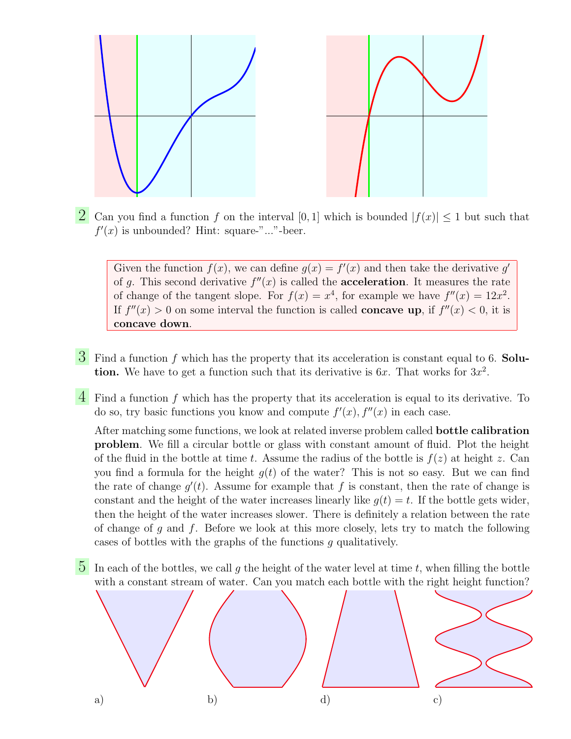

2 Can you find a function f on the interval [0, 1] which is bounded  $|f(x)| \leq 1$  but such that  $f'(x)$  is unbounded? Hint: square-"..."-beer.

Given the function  $f(x)$ , we can define  $g(x) = f'(x)$  and then take the derivative g' of g. This second derivative  $f''(x)$  is called the **acceleration**. It measures the rate of change of the tangent slope. For  $f(x) = x^4$ , for example we have  $f''(x) = 12x^2$ . If  $f''(x) > 0$  on some interval the function is called **concave up**, if  $f''(x) < 0$ , it is concave down.

- $\overline{3}$  Find a function f which has the property that its acceleration is constant equal to 6. Solution. We have to get a function such that its derivative is  $6x$ . That works for  $3x^2$ .
- 4 Find a function <sup>f</sup> which has the property that its acceleration is equal to its derivative. To do so, try basic functions you know and compute  $f'(x)$ ,  $f''(x)$  in each case.

After matching some functions, we look at related inverse problem called bottle calibration problem. We fill a circular bottle or glass with constant amount of fluid. Plot the height of the fluid in the bottle at time t. Assume the radius of the bottle is  $f(z)$  at height z. Can you find a formula for the height  $g(t)$  of the water? This is not so easy. But we can find the rate of change  $g'(t)$ . Assume for example that f is constant, then the rate of change is constant and the height of the water increases linearly like  $g(t) = t$ . If the bottle gets wider, then the height of the water increases slower. There is definitely a relation between the rate of change of g and f. Before we look at this more closely, lets try to match the following cases of bottles with the graphs of the functions g qualitatively.

 $\overline{5}$  In each of the bottles, we call g the height of the water level at time t, when filling the bottle with a constant stream of water. Can you match each bottle with the right height function?

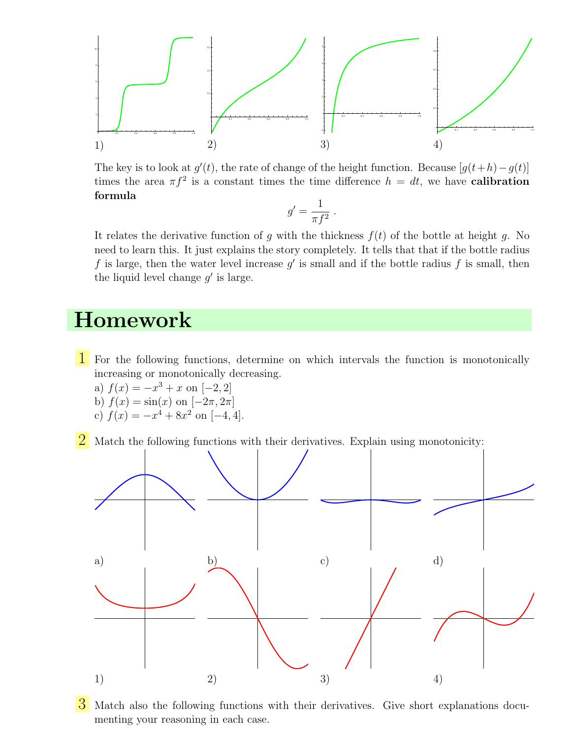

The key is to look at  $g'(t)$ , the rate of change of the height function. Because  $[g(t+h)-g(t)]$ times the area  $\pi f^2$  is a constant times the time difference  $h = dt$ , we have **calibration** formula

$$
g'=\frac{1}{\pi f^2}.
$$

It relates the derivative function of g with the thickness  $f(t)$  of the bottle at height g. No need to learn this. It just explains the story completely. It tells that that if the bottle radius f is large, then the water level increase  $g'$  is small and if the bottle radius f is small, then the liquid level change  $g'$  is large.

## Homework

- 1 For the following functions, determine on which intervals the function is monotonically increasing or monotonically decreasing.
	- a)  $f(x) = -x^3 + x$  on  $[-2, 2]$
	- b)  $f(x) = \sin(x)$  on  $[-2\pi, 2\pi]$
	- c)  $f(x) = -x^4 + 8x^2$  on  $[-4, 4]$ .
- $2$  Match the following functions with their derivatives. Explain using monotonicity:



 $\overline{3}$  Match also the following functions with their derivatives. Give short explanations documenting your reasoning in each case.